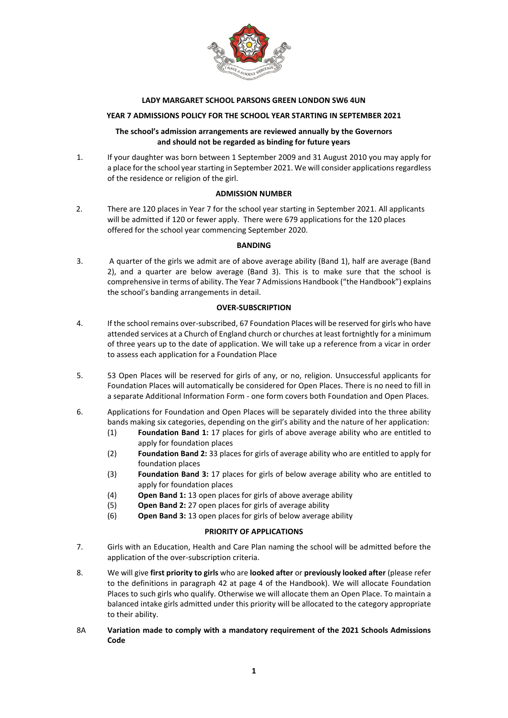

### **LADY MARGARET SCHOOL PARSONS GREEN LONDON SW6 4UN**

## **YEAR 7 ADMISSIONS POLICY FOR THE SCHOOL YEAR STARTING IN SEPTEMBER 2021**

### **The school's admission arrangements are reviewed annually by the Governors and should not be regarded as binding for future years**

1. If your daughter was born between 1 September 2009 and 31 August 2010 you may apply for a place for the school year starting in September 2021. We will consider applications regardless of the residence or religion of the girl.

### **ADMISSION NUMBER**

2. There are 120 places in Year 7 for the school year starting in September 2021. All applicants will be admitted if 120 or fewer apply. There were 679 applications for the 120 places offered for the school year commencing September 2020.

#### **BANDING**

3. A quarter of the girls we admit are of above average ability (Band 1), half are average (Band 2), and a quarter are below average (Band 3). This is to make sure that the school is comprehensive in terms of ability. The Year 7 Admissions Handbook ("the Handbook") explains the school's banding arrangements in detail.

### **OVER-SUBSCRIPTION**

- 4. If the school remains over-subscribed, 67 Foundation Places will be reserved for girls who have attended services at a Church of England church or churches at least fortnightly for a minimum of three years up to the date of application. We will take up a reference from a vicar in order to assess each application for a Foundation Place
- 5. 53 Open Places will be reserved for girls of any, or no, religion. Unsuccessful applicants for Foundation Places will automatically be considered for Open Places. There is no need to fill in a separate Additional Information Form - one form covers both Foundation and Open Places.
- 6. Applications for Foundation and Open Places will be separately divided into the three ability bands making six categories, depending on the girl's ability and the nature of her application:
	- (1) **Foundation Band 1:** 17 places for girls of above average ability who are entitled to apply for foundation places
	- (2) **Foundation Band 2:** 33 places for girls of average ability who are entitled to apply for foundation places
	- (3) **Foundation Band 3:** 17 places for girls of below average ability who are entitled to apply for foundation places
	- (4) **Open Band 1:** 13 open places for girls of above average ability
	- (5) **Open Band 2:** 27 open places for girls of average ability
	- (6) **Open Band 3:** 13 open places for girls of below average ability

### **PRIORITY OF APPLICATIONS**

- 7. Girls with an Education, Health and Care Plan naming the school will be admitted before the application of the over-subscription criteria.
- 8. We will give **first priority to girls** who are **looked after** or **previously looked after** (please refer to the definitions in paragraph 42 at page 4 of the Handbook). We will allocate Foundation Places to such girls who qualify. Otherwise we will allocate them an Open Place. To maintain a balanced intake girls admitted under this priority will be allocated to the category appropriate to their ability.
- 8A **Variation made to comply with a mandatory requirement of the 2021 Schools Admissions Code**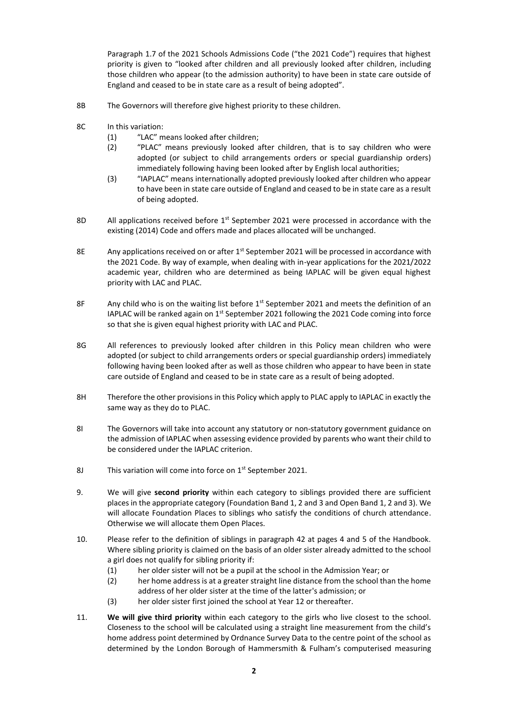Paragraph 1.7 of the 2021 Schools Admissions Code ("the 2021 Code") requires that highest priority is given to "looked after children and all previously looked after children, including those children who appear (to the admission authority) to have been in state care outside of England and ceased to be in state care as a result of being adopted".

- 8B The Governors will therefore give highest priority to these children.
- 8C In this variation:
	- (1) "LAC" means looked after children;
	- (2) "PLAC" means previously looked after children, that is to say children who were adopted (or subject to child arrangements orders or special guardianship orders) immediately following having been looked after by English local authorities;
	- (3) "IAPLAC" means internationally adopted previously looked after children who appear to have been in state care outside of England and ceased to be in state care as a result of being adopted.
- 8D All applications received before  $1<sup>st</sup>$  September 2021 were processed in accordance with the existing (2014) Code and offers made and places allocated will be unchanged.
- 8E Any applications received on or after  $1<sup>st</sup>$  September 2021 will be processed in accordance with the 2021 Code. By way of example, when dealing with in-year applications for the 2021/2022 academic year, children who are determined as being IAPLAC will be given equal highest priority with LAC and PLAC.
- 8F Any child who is on the waiting list before  $1<sup>st</sup>$  September 2021 and meets the definition of an IAPLAC will be ranked again on  $1<sup>st</sup>$  September 2021 following the 2021 Code coming into force so that she is given equal highest priority with LAC and PLAC.
- 8G All references to previously looked after children in this Policy mean children who were adopted (or subject to child arrangements orders or special guardianship orders) immediately following having been looked after as well as those children who appear to have been in state care outside of England and ceased to be in state care as a result of being adopted.
- 8H Therefore the other provisions in this Policy which apply to PLAC apply to IAPLAC in exactly the same way as they do to PLAC.
- 8I The Governors will take into account any statutory or non-statutory government guidance on the admission of IAPLAC when assessing evidence provided by parents who want their child to be considered under the IAPLAC criterion.
- 8J This variation will come into force on 1<sup>st</sup> September 2021.
- 9. We will give **second priority** within each category to siblings provided there are sufficient places in the appropriate category (Foundation Band 1, 2 and 3 and Open Band 1, 2 and 3). We will allocate Foundation Places to siblings who satisfy the conditions of church attendance. Otherwise we will allocate them Open Places.
- 10. Please refer to the definition of siblings in paragraph 42 at pages 4 and 5 of the Handbook. Where sibling priority is claimed on the basis of an older sister already admitted to the school a girl does not qualify for sibling priority if:
	- (1) her older sister will not be a pupil at the school in the Admission Year; or
	- (2) her home address is at a greater straight line distance from the school than the home address of her older sister at the time of the latter's admission; or
	- (3) her older sister first joined the school at Year 12 or thereafter.
- 11. **We will give third priority** within each category to the girls who live closest to the school. Closeness to the school will be calculated using a straight line measurement from the child's home address point determined by Ordnance Survey Data to the centre point of the school as determined by the London Borough of Hammersmith & Fulham's computerised measuring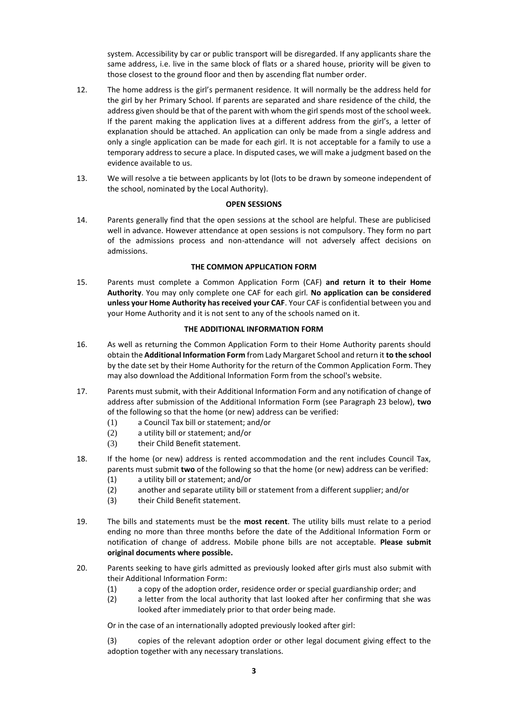system. Accessibility by car or public transport will be disregarded. If any applicants share the same address, i.e. live in the same block of flats or a shared house, priority will be given to those closest to the ground floor and then by ascending flat number order.

- 12. The home address is the girl's permanent residence. It will normally be the address held for the girl by her Primary School. If parents are separated and share residence of the child, the address given should be that of the parent with whom the girl spends most of the school week. If the parent making the application lives at a different address from the girl's, a letter of explanation should be attached. An application can only be made from a single address and only a single application can be made for each girl. It is not acceptable for a family to use a temporary address to secure a place. In disputed cases, we will make a judgment based on the evidence available to us.
- 13. We will resolve a tie between applicants by lot (lots to be drawn by someone independent of the school, nominated by the Local Authority).

### **OPEN SESSIONS**

14. Parents generally find that the open sessions at the school are helpful. These are publicised well in advance. However attendance at open sessions is not compulsory. They form no part of the admissions process and non-attendance will not adversely affect decisions on admissions.

## **THE COMMON APPLICATION FORM**

15. Parents must complete a Common Application Form (CAF) **and return it to their Home Authority**. You may only complete one CAF for each girl*.* **No application can be considered unless your Home Authority has received your CAF**. Your CAF is confidential between you and your Home Authority and it is not sent to any of the schools named on it.

### **THE ADDITIONAL INFORMATION FORM**

- 16. As well as returning the Common Application Form to their Home Authority parents should obtain the **Additional Information Form** from Lady Margaret School and return it **to the school** by the date set by their Home Authority for the return of the Common Application Form. They may also download the Additional Information Form from the school's website.
- 17. Parents must submit, with their Additional Information Form and any notification of change of address after submission of the Additional Information Form (see Paragraph 23 below), **two** of the following so that the home (or new) address can be verified:
	- (1) a Council Tax bill or statement; and/or
	- (2) a utility bill or statement; and/or
	- (3) their Child Benefit statement.
- 18. If the home (or new) address is rented accommodation and the rent includes Council Tax, parents must submit **two** of the following so that the home (or new) address can be verified:
	- (1) a utility bill or statement; and/or
	- (2) another and separate utility bill or statement from a different supplier; and/or
	- (3) their Child Benefit statement.
- 19. The bills and statements must be the **most recent**. The utility bills must relate to a period ending no more than three months before the date of the Additional Information Form or notification of change of address. Mobile phone bills are not acceptable. **Please submit original documents where possible.**
- 20. Parents seeking to have girls admitted as previously looked after girls must also submit with their Additional Information Form:
	- (1) a copy of the adoption order, residence order or special guardianship order; and
	- (2) a letter from the local authority that last looked after her confirming that she was looked after immediately prior to that order being made.

Or in the case of an internationally adopted previously looked after girl:

(3) copies of the relevant adoption order or other legal document giving effect to the adoption together with any necessary translations.